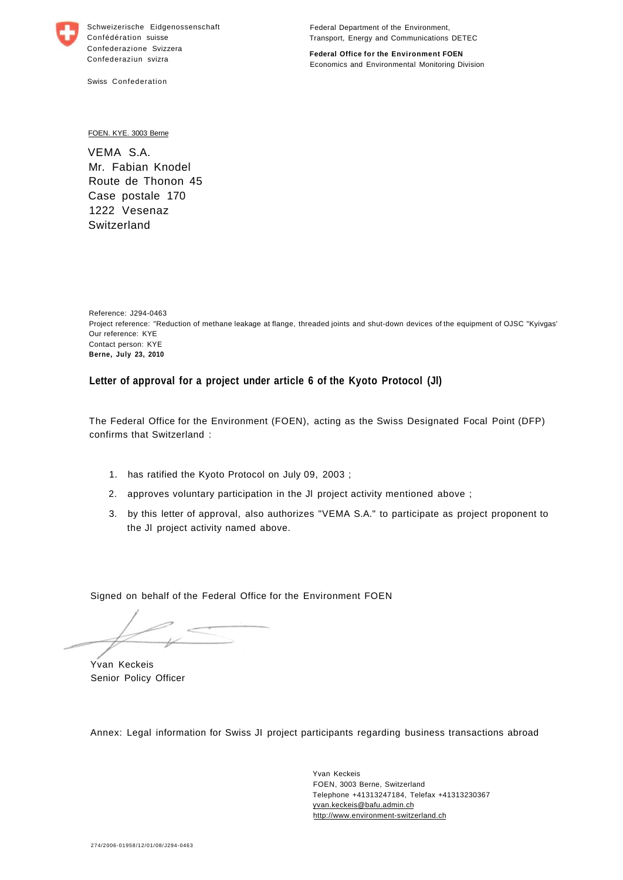

Schweizerische Eidgenossenschaft Confédération suisse Confederazione Svizzera Confederaziun svizra

Swiss Confederation

Federal Department of the Environment, Transport, Energy and Communications DETEC

**Federal Office for the Environment FOEN**  Economics and Environmental Monitoring Division

FOEN. KYE. 3003 Berne

VEMA S.A. Mr. Fabian Knodel Route de Thonon 45 Case postale 170 1222 Vesenaz Switzerland

Reference: J294-0463 Project reference: "Reduction of methane leakage at flange, threaded joints and shut-down devices of the equipment of OJSC "Kyivgas' Our reference: KYE Contact person: KYE **Berne, July 23, 2010** 

## **Letter of approval for a project under article 6 of the Kyoto Protocol (Jl)**

The Federal Office for the Environment (FOEN), acting as the Swiss Designated Focal Point (DFP) confirms that Switzerland :

- 1. has ratified the Kyoto Protocol on July 09, 2003 ;
- 2. approves voluntary participation in the Jl project activity mentioned above ;
- 3. by this letter of approval, also authorizes "VEMA S.A." to participate as project proponent to the Jl project activity named above.

Signed on behalf of the Federal Office for the Environment FOEN

Yvan Keckeis Senior Policy Officer

Annex: Legal information for Swiss JI project participants regarding business transactions abroad

Yvan Keckeis FOEN, 3003 Berne, Switzerland Telephone +41313247184, Telefax +41313230367 [yvan.keckeis@bafu.admin.ch](mailto:yvan.keckeis@bafu.admin.ch)  <http://www.environment-switzerland.ch>